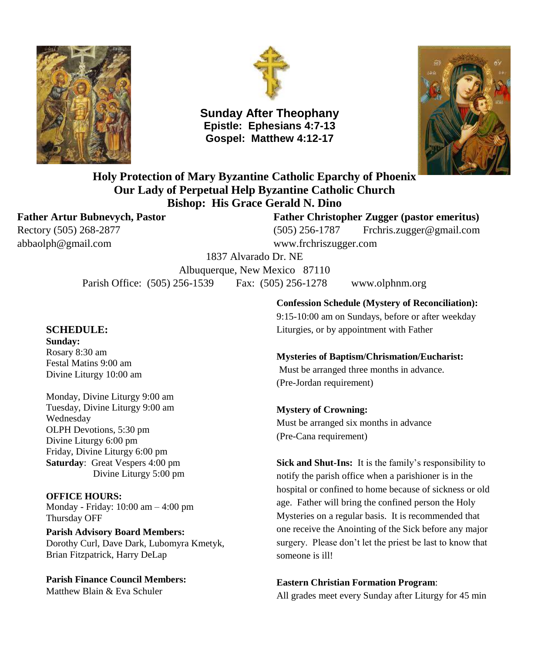



**Sunday After Theophany Epistle: Ephesians 4:7-13 Gospel: Matthew 4:12-17**



**Holy Protection of Mary Byzantine Catholic Eparchy of Phoenix Our Lady of Perpetual Help Byzantine Catholic Church Bishop: His Grace Gerald N. Dino**

[abbaolph@gmail.com](mailto:abbaolph@gmail.com) www.frchriszugger.com

**Father Artur Bubnevych, Pastor Father Christopher Zugger (pastor emeritus)** Rectory (505) 268-2877 (505) 256-1787 [Frchris.zugger@gmail.com](mailto:Frchris.zugger@gmail.com)

1837 Alvarado Dr. NE

Albuquerque, New Mexico 87110 Parish Office: (505) 256-1539 Fax: (505) 256-1278 www.olphnm.org

#### **SCHEDULE:**

**Sunday:** Rosary 8:30 am Festal Matins 9:00 am Divine Liturgy 10:00 am

Monday, Divine Liturgy 9:00 am Tuesday, Divine Liturgy 9:00 am Wednesday OLPH Devotions, 5:30 pm Divine Liturgy 6:00 pm Friday, Divine Liturgy 6:00 pm **Saturday**: Great Vespers 4:00 pm Divine Liturgy 5:00 pm

**OFFICE HOURS:** Monday - Friday: 10:00 am – 4:00 pm Thursday OFF

**Parish Advisory Board Members:** Dorothy Curl, Dave Dark, Lubomyra Kmetyk, Brian Fitzpatrick, Harry DeLap

**Parish Finance Council Members:** Matthew Blain & Eva Schuler

**Confession Schedule (Mystery of Reconciliation):**

9:15-10:00 am on Sundays, before or after weekday Liturgies, or by appointment with Father

#### **Mysteries of Baptism/Chrismation/Eucharist:**

Must be arranged three months in advance. (Pre-Jordan requirement)

#### **Mystery of Crowning:**

Must be arranged six months in advance (Pre-Cana requirement)

**Sick and Shut-Ins:** It is the family's responsibility to notify the parish office when a parishioner is in the hospital or confined to home because of sickness or old age. Father will bring the confined person the Holy Mysteries on a regular basis. It is recommended that one receive the Anointing of the Sick before any major surgery. Please don't let the priest be last to know that someone is ill!

#### **Eastern Christian Formation Program**:

All grades meet every Sunday after Liturgy for 45 min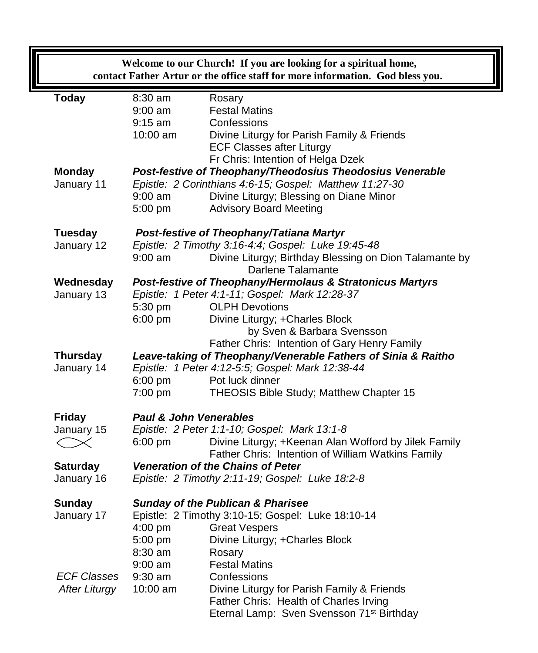|                                                            | Welcome to our Church! If you are looking for a spiritual home,<br>contact Father Artur or the office staff for more information. God bless you. |                                                                                                                      |                                                                                                           |  |  |  |  |  |
|------------------------------------------------------------|--------------------------------------------------------------------------------------------------------------------------------------------------|----------------------------------------------------------------------------------------------------------------------|-----------------------------------------------------------------------------------------------------------|--|--|--|--|--|
|                                                            | <b>Today</b>                                                                                                                                     | 8:30 am                                                                                                              | Rosary                                                                                                    |  |  |  |  |  |
|                                                            |                                                                                                                                                  | $9:00$ am                                                                                                            | <b>Festal Matins</b>                                                                                      |  |  |  |  |  |
|                                                            |                                                                                                                                                  | $9:15$ am<br>10:00 am                                                                                                | Confessions<br>Divine Liturgy for Parish Family & Friends                                                 |  |  |  |  |  |
|                                                            |                                                                                                                                                  |                                                                                                                      | <b>ECF Classes after Liturgy</b>                                                                          |  |  |  |  |  |
|                                                            |                                                                                                                                                  |                                                                                                                      | Fr Chris: Intention of Helga Dzek                                                                         |  |  |  |  |  |
|                                                            | <b>Monday</b>                                                                                                                                    | Post-festive of Theophany/Theodosius Theodosius Venerable<br>Epistle: 2 Corinthians 4:6-15; Gospel: Matthew 11:27-30 |                                                                                                           |  |  |  |  |  |
|                                                            | January 11                                                                                                                                       | $9:00$ am                                                                                                            | Divine Liturgy; Blessing on Diane Minor                                                                   |  |  |  |  |  |
|                                                            |                                                                                                                                                  | 5:00 pm                                                                                                              | <b>Advisory Board Meeting</b>                                                                             |  |  |  |  |  |
| <b>Tuesday</b><br>Post-festive of Theophany/Tatiana Martyr |                                                                                                                                                  |                                                                                                                      |                                                                                                           |  |  |  |  |  |
|                                                            | January 12                                                                                                                                       |                                                                                                                      | Epistle: 2 Timothy 3:16-4:4; Gospel: Luke 19:45-48                                                        |  |  |  |  |  |
|                                                            |                                                                                                                                                  | $9:00$ am                                                                                                            | Divine Liturgy; Birthday Blessing on Dion Talamante by<br>Darlene Talamante                               |  |  |  |  |  |
|                                                            | Wednesday                                                                                                                                        |                                                                                                                      | Post-festive of Theophany/Hermolaus & Stratonicus Martyrs                                                 |  |  |  |  |  |
|                                                            | January 13                                                                                                                                       |                                                                                                                      | Epistle: 1 Peter 4:1-11; Gospel: Mark 12:28-37                                                            |  |  |  |  |  |
|                                                            |                                                                                                                                                  | 5:30 pm                                                                                                              | <b>OLPH Devotions</b>                                                                                     |  |  |  |  |  |
|                                                            |                                                                                                                                                  | $6:00$ pm                                                                                                            | Divine Liturgy; +Charles Block<br>by Sven & Barbara Svensson                                              |  |  |  |  |  |
|                                                            |                                                                                                                                                  |                                                                                                                      | Father Chris: Intention of Gary Henry Family                                                              |  |  |  |  |  |
|                                                            | <b>Thursday</b>                                                                                                                                  |                                                                                                                      | Leave-taking of Theophany/Venerable Fathers of Sinia & Raitho                                             |  |  |  |  |  |
|                                                            | January 14                                                                                                                                       |                                                                                                                      | Epistle: 1 Peter 4:12-5:5; Gospel: Mark 12:38-44                                                          |  |  |  |  |  |
|                                                            |                                                                                                                                                  | $6:00$ pm                                                                                                            | Pot luck dinner                                                                                           |  |  |  |  |  |
| 7:00 pm                                                    |                                                                                                                                                  |                                                                                                                      | THEOSIS Bible Study; Matthew Chapter 15                                                                   |  |  |  |  |  |
|                                                            | <b>Friday</b>                                                                                                                                    | <b>Paul &amp; John Venerables</b>                                                                                    |                                                                                                           |  |  |  |  |  |
|                                                            | January 15                                                                                                                                       |                                                                                                                      | Epistle: 2 Peter 1:1-10; Gospel: Mark 13:1-8                                                              |  |  |  |  |  |
|                                                            | $\langle \ \ \times$                                                                                                                             | $6:00$ pm                                                                                                            | Divine Liturgy; +Keenan Alan Wofford by Jilek Family<br>Father Chris: Intention of William Watkins Family |  |  |  |  |  |
|                                                            | <b>Saturday</b>                                                                                                                                  |                                                                                                                      | Veneration of the Chains of Peter                                                                         |  |  |  |  |  |
|                                                            | January 16                                                                                                                                       | Epistle: 2 Timothy 2:11-19; Gospel: Luke 18:2-8                                                                      |                                                                                                           |  |  |  |  |  |
|                                                            | <b>Sunday</b>                                                                                                                                    | <b>Sunday of the Publican &amp; Pharisee</b>                                                                         |                                                                                                           |  |  |  |  |  |
|                                                            | January 17                                                                                                                                       |                                                                                                                      | Epistle: 2 Timothy 3:10-15; Gospel: Luke 18:10-14                                                         |  |  |  |  |  |
|                                                            |                                                                                                                                                  |                                                                                                                      | 4:00 pm Great Vespers                                                                                     |  |  |  |  |  |
|                                                            |                                                                                                                                                  | 5:00 pm<br>8:30 am                                                                                                   | Divine Liturgy; +Charles Block<br>Rosary                                                                  |  |  |  |  |  |
|                                                            |                                                                                                                                                  | $9:00$ am                                                                                                            | <b>Festal Matins</b>                                                                                      |  |  |  |  |  |
|                                                            | <b>ECF Classes</b>                                                                                                                               | $9:30$ am                                                                                                            | Confessions                                                                                               |  |  |  |  |  |
|                                                            | <b>After Liturgy</b>                                                                                                                             | 10:00 am                                                                                                             | Divine Liturgy for Parish Family & Friends                                                                |  |  |  |  |  |
|                                                            |                                                                                                                                                  |                                                                                                                      | Father Chris: Health of Charles Irving<br>Eternal Lamp: Sven Svensson 71 <sup>st</sup> Birthday           |  |  |  |  |  |
|                                                            |                                                                                                                                                  |                                                                                                                      |                                                                                                           |  |  |  |  |  |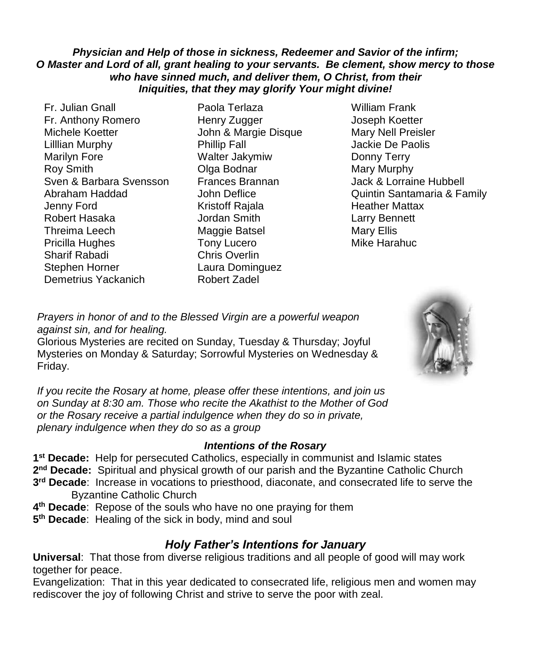### *Physician and Help of those in sickness, Redeemer and Savior of the infirm; O Master and Lord of all, grant healing to your servants. Be clement, show mercy to those who have sinned much, and deliver them, O Christ, from their Iniquities, that they may glorify Your might divine!*

- Fr. Julian Gnall Paola Terlaza William Frank Fr. Anthony Romero Henry Zugger Joseph Koetter Michele Koetter John & Margie Disque Mary Nell Preisler Lilllian Murphy Phillip Fall Jackie De Paolis Marilyn Fore Walter Jakymiw Donny Terry Roy Smith **Communist Communist Communist Communist Communist Communist Communist Communist Communist Communist Communist Communist Communist Communist Communist Communist Communist Communist Communist Communist Communist C** Sven & Barbara Svensson Frances Brannan Jack & Lorraine Hubbell Jenny Ford Kristoff Rajala Heather Mattax Robert Hasaka Jordan Smith Larry Bennett Threima Leech Maggie Batsel Mary Ellis Pricilla Hughes Tony Lucero **Mike Harahuc** Sharif Rabadi Chris Overlin Stephen Horner Laura Dominguez Demetrius Yackanich Robert Zadel
- 
- Abraham Haddad John Deflice Quintin Santamaria & Family

*Prayers in honor of and to the Blessed Virgin are a powerful weapon against sin, and for healing.* 

Glorious Mysteries are recited on Sunday, Tuesday & Thursday; Joyful Mysteries on Monday & Saturday; Sorrowful Mysteries on Wednesday & Friday.

*If you recite the Rosary at home, please offer these intentions, and join us on Sunday at 8:30 am. Those who recite the Akathist to the Mother of God or the Rosary receive a partial indulgence when they do so in private, plenary indulgence when they do so as a group*

## *Intentions of the Rosary*

**1 st Decade:** Help for persecuted Catholics, especially in communist and Islamic states 2<sup>nd</sup> Decade: Spiritual and physical growth of our parish and the Byzantine Catholic Church **3 rd Decade**: Increase in vocations to priesthood, diaconate, and consecrated life to serve the Byzantine Catholic Church

- **4 th Decade**: Repose of the souls who have no one praying for them
- **5 th Decade**: Healing of the sick in body, mind and soul

# *Holy Father's Intentions for January*

**Universal**: That those from diverse religious traditions and all people of good will may work together for peace.

Evangelization: That in this year dedicated to consecrated life, religious men and women may rediscover the joy of following Christ and strive to serve the poor with zeal.

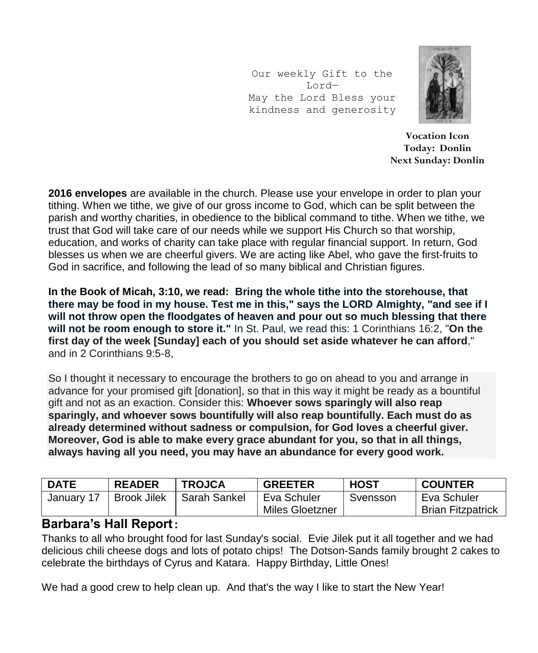Our weekly Gift to the Lord— May the Lord Bless your kindness and generosity



**Vocation Icon Today: Donlin Next Sunday: Donlin**

**2016 envelopes** are available in the church. Please use your envelope in order to plan your tithing. When we tithe, we give of our gross income to God, which can be split between the parish and worthy charities, in obedience to the biblical command to tithe. When we tithe, we trust that God will take care of our needs while we support His Church so that worship, education, and works of charity can take place with regular financial support. In return, God blesses us when we are cheerful givers. We are acting like Abel, who gave the first-fruits to God in sacrifice, and following the lead of so many biblical and Christian figures.

**In the Book of Micah, 3:10, we read: Bring the whole tithe into the storehouse, that there may be food in my house. Test me in this," says the LORD Almighty, "and see if I will not throw open the floodgates of heaven and pour out so much blessing that there will not be room enough to store it."** In St. Paul, we read this: 1 Corinthians 16:2, "**On the first day of the week [Sunday] each of you should set aside whatever he can afford**," and in 2 Corinthians 9:5-8,

So I thought it necessary to encourage the brothers to go on ahead to you and arrange in advance for your promised gift [donation], so that in this way it might be ready as a bountiful gift and not as an exaction. Consider this: **Whoever sows sparingly will also reap sparingly, and whoever sows bountifully will also reap bountifully. Each must do as already determined without sadness or compulsion, for God loves a cheerful giver. Moreover, God is able to make every grace abundant for you, so that in all things, always having all you need, you may have an abundance for every good work.**

| <b>DATE</b> | <b>READER</b>      | <b>TROJCA</b> | <b>GREETER</b>  | <b>HOST</b> | <b>COUNTER</b>           |
|-------------|--------------------|---------------|-----------------|-------------|--------------------------|
| January 17  | <b>Brook Jilek</b> | Sarah Sankel  | Eva Schuler     | Svensson    | Eva Schuler              |
|             |                    |               | Miles Gloetzner |             | <b>Brian Fitzpatrick</b> |

# **Barbara's Hall Report:**

Thanks to all who brought food for last Sunday's social. Evie Jilek put it all together and we had delicious chili cheese dogs and lots of potato chips! The Dotson-Sands family brought 2 cakes to celebrate the birthdays of Cyrus and Katara. Happy Birthday, Little Ones!

We had a good crew to help clean up. And that's the way I like to start the New Year!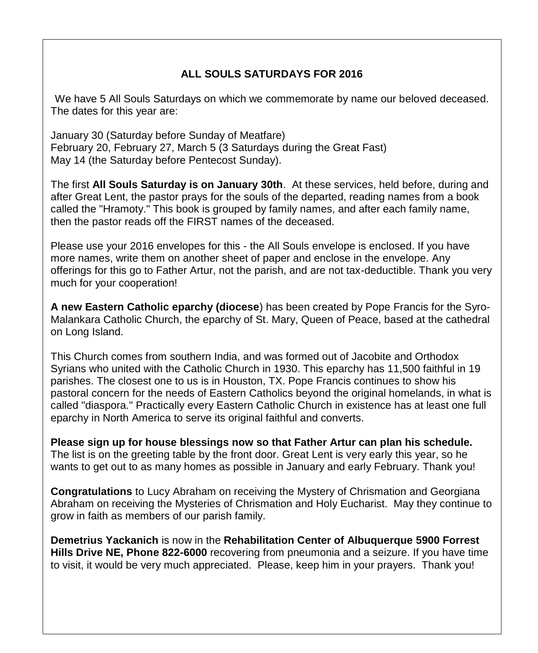## **ALL SOULS SATURDAYS FOR 2016**

We have 5 All Souls Saturdays on which we commemorate by name our beloved deceased. The dates for this year are:

January 30 (Saturday before Sunday of Meatfare) February 20, February 27, March 5 (3 Saturdays during the Great Fast) May 14 (the Saturday before Pentecost Sunday).

The first **All Souls Saturday is on January 30th**. At these services, held before, during and after Great Lent, the pastor prays for the souls of the departed, reading names from a book called the "Hramoty." This book is grouped by family names, and after each family name, then the pastor reads off the FIRST names of the deceased.

Please use your 2016 envelopes for this - the All Souls envelope is enclosed. If you have more names, write them on another sheet of paper and enclose in the envelope. Any offerings for this go to Father Artur, not the parish, and are not tax-deductible. Thank you very much for your cooperation!

**A new Eastern Catholic eparchy (diocese**) has been created by Pope Francis for the Syro-Malankara Catholic Church, the eparchy of St. Mary, Queen of Peace, based at the cathedral on Long Island.

This Church comes from southern India, and was formed out of Jacobite and Orthodox Syrians who united with the Catholic Church in 1930. This eparchy has 11,500 faithful in 19 parishes. The closest one to us is in Houston, TX. Pope Francis continues to show his pastoral concern for the needs of Eastern Catholics beyond the original homelands, in what is called "diaspora." Practically every Eastern Catholic Church in existence has at least one full eparchy in North America to serve its original faithful and converts.

**Please sign up for house blessings now so that Father Artur can plan his schedule.**  The list is on the greeting table by the front door. Great Lent is very early this year, so he wants to get out to as many homes as possible in January and early February. Thank you!

**Congratulations** to Lucy Abraham on receiving the Mystery of Chrismation and Georgiana Abraham on receiving the Mysteries of Chrismation and Holy Eucharist. May they continue to grow in faith as members of our parish family.

**Demetrius Yackanich** is now in the **Rehabilitation Center of Albuquerque 5900 Forrest Hills Drive NE, Phone 822-6000** recovering from pneumonia and a seizure. If you have time to visit, it would be very much appreciated. Please, keep him in your prayers. Thank you!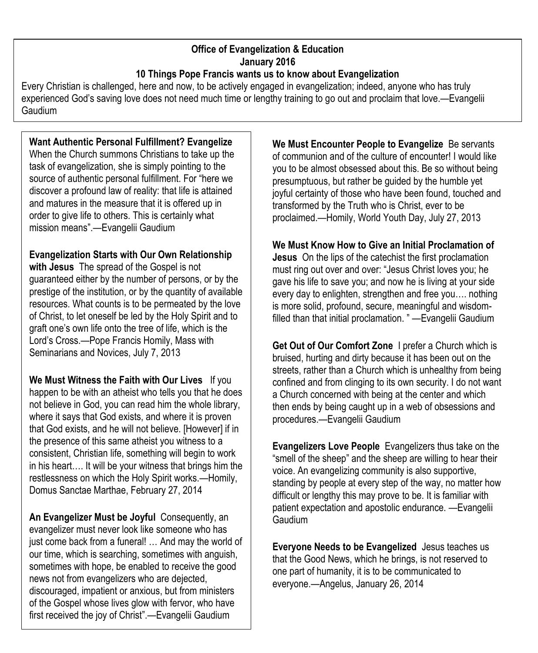#### **Office of Evangelization & Education January 2016 10 Things Pope Francis wants us to know about Evangelization**

Every Christian is challenged, here and now, to be actively engaged in evangelization; indeed, anyone who has truly experienced God's saving love does not need much time or lengthy training to go out and proclaim that love.—Evangelii **Gaudium** 

## **Want Authentic Personal Fulfillment? Evangelize**

When the Church summons Christians to take up the task of evangelization, she is simply pointing to the source of authentic personal fulfillment. For "here we discover a profound law of reality: that life is attained and matures in the measure that it is offered up in order to give life to others. This is certainly what mission means".—Evangelii Gaudium

**Evangelization Starts with Our Own Relationship with Jesus** The spread of the Gospel is not guaranteed either by the number of persons, or by the prestige of the institution, or by the quantity of available resources. What counts is to be permeated by the love of Christ, to let oneself be led by the Holy Spirit and to graft one's own life onto the tree of life, which is the Lord's Cross.—Pope Francis Homily, Mass with Seminarians and Novices, July 7, 2013

**We Must Witness the Faith with Our Lives** If you happen to be with an atheist who tells you that he does not believe in God, you can read him the whole library, where it says that God exists, and where it is proven that God exists, and he will not believe. [However] if in the presence of this same atheist you witness to a consistent, Christian life, something will begin to work in his heart…. It will be your witness that brings him the restlessness on which the Holy Spirit works.—Homily, Domus Sanctae Marthae, February 27, 2014

**An Evangelizer Must be Joyful** Consequently, an evangelizer must never look like someone who has just come back from a funeral! … And may the world of our time, which is searching, sometimes with anguish, sometimes with hope, be enabled to receive the good news not from evangelizers who are dejected, discouraged, impatient or anxious, but from ministers of the Gospel whose lives glow with fervor, who have first received the joy of Christ".—Evangelii Gaudium

**We Must Encounter People to Evangelize** Be servants of communion and of the culture of encounter! I would like you to be almost obsessed about this. Be so without being presumptuous, but rather be guided by the humble yet joyful certainty of those who have been found, touched and transformed by the Truth who is Christ, ever to be proclaimed.—Homily, World Youth Day, July 27, 2013

**We Must Know How to Give an Initial Proclamation of Jesus** On the lips of the catechist the first proclamation must ring out over and over: "Jesus Christ loves you; he gave his life to save you; and now he is living at your side every day to enlighten, strengthen and free you…. nothing is more solid, profound, secure, meaningful and wisdomfilled than that initial proclamation. " —Evangelii Gaudium

**Get Out of Our Comfort Zone** I prefer a Church which is bruised, hurting and dirty because it has been out on the streets, rather than a Church which is unhealthy from being confined and from clinging to its own security. I do not want a Church concerned with being at the center and which then ends by being caught up in a web of obsessions and procedures.—Evangelii Gaudium

**Evangelizers Love People** Evangelizers thus take on the "smell of the sheep" and the sheep are willing to hear their voice. An evangelizing community is also supportive, standing by people at every step of the way, no matter how difficult or lengthy this may prove to be. It is familiar with patient expectation and apostolic endurance. —Evangelii Gaudium

**Everyone Needs to be Evangelized** Jesus teaches us that the Good News, which he brings, is not reserved to one part of humanity, it is to be communicated to everyone.—Angelus, January 26, 2014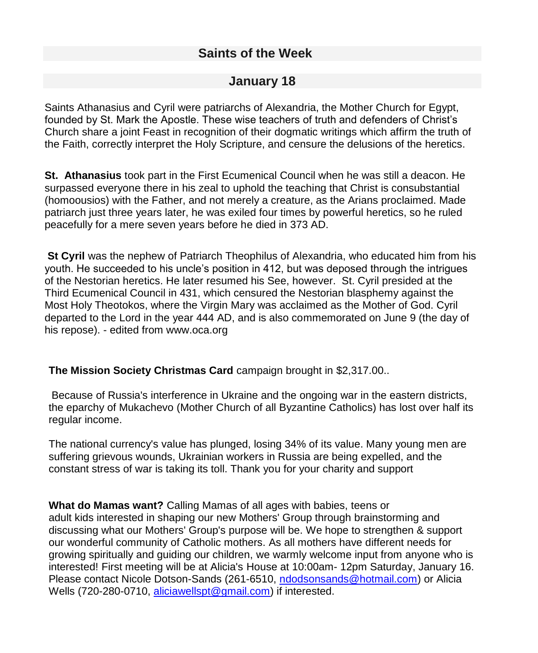# **Saints of the Week**

## **January 18**

Saints Athanasius and Cyril were patriarchs of Alexandria, the Mother Church for Egypt, founded by St. Mark the Apostle. These wise teachers of truth and defenders of Christ's Church share a joint Feast in recognition of their dogmatic writings which affirm the truth of the Faith, correctly interpret the Holy Scripture, and censure the delusions of the heretics.

**St. Athanasius** took part in the First Ecumenical Council when he was still a deacon. He surpassed everyone there in his zeal to uphold the teaching that Christ is consubstantial (homoousios) with the Father, and not merely a creature, as the Arians proclaimed. Made patriarch just three years later, he was exiled four times by powerful heretics, so he ruled peacefully for a mere seven years before he died in 373 AD.

**St Cyril** was the nephew of Patriarch Theophilus of Alexandria, who educated him from his youth. He succeeded to his uncle's position in 412, but was deposed through the intrigues of the Nestorian heretics. He later resumed his See, however. St. Cyril presided at the Third Ecumenical Council in 431, which censured the Nestorian blasphemy against the Most Holy Theotokos, where the Virgin Mary was acclaimed as the Mother of God. Cyril departed to the Lord in the year 444 AD, and is also commemorated on June 9 (the day of his repose). - edited from www.oca.org

## **The Mission Society Christmas Card** campaign brought in \$2,317.00..

Because of Russia's interference in Ukraine and the ongoing war in the eastern districts, the eparchy of Mukachevo (Mother Church of all Byzantine Catholics) has lost over half its regular income.

The national currency's value has plunged, losing 34% of its value. Many young men are suffering grievous wounds, Ukrainian workers in Russia are being expelled, and the constant stress of war is taking its toll. Thank you for your charity and support

**What do Mamas want?** Calling Mamas of all ages with babies, teens or adult kids interested in shaping our new Mothers' Group through brainstorming and discussing what our Mothers' Group's purpose will be. We hope to strengthen & support our wonderful community of Catholic mothers. As all mothers have different needs for growing spiritually and guiding our children, we warmly welcome input from anyone who is interested! First meeting will be at Alicia's House at 10:00am- 12pm Saturday, January 16. Please contact Nicole Dotson-Sands (261-6510, [ndodsonsands@hotmail.com\)](mailto:ndodsonsands@hotmail.com) or Alicia Wells (720-280-0710, [aliciawellspt@gmail.com\)](mailto:aliciawellspt@gmail.com) if interested.